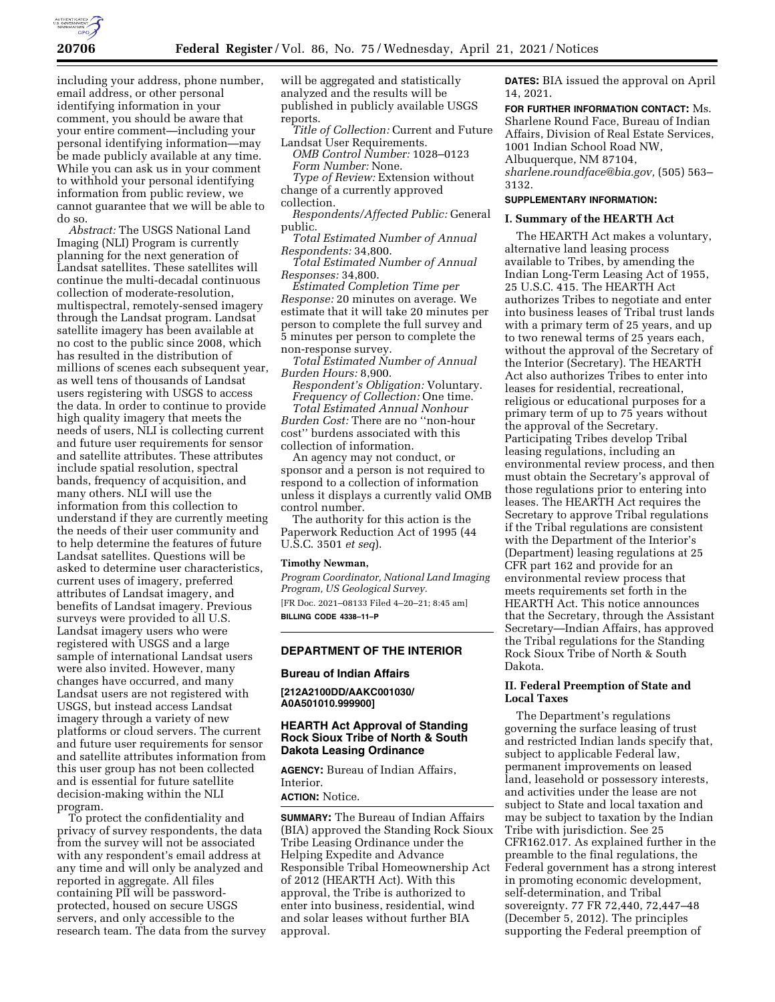

including your address, phone number, email address, or other personal identifying information in your comment, you should be aware that your entire comment—including your personal identifying information—may be made publicly available at any time. While you can ask us in your comment to withhold your personal identifying information from public review, we cannot guarantee that we will be able to do so.

*Abstract:* The USGS National Land Imaging (NLI) Program is currently planning for the next generation of Landsat satellites. These satellites will continue the multi-decadal continuous collection of moderate-resolution, multispectral, remotely-sensed imagery through the Landsat program. Landsat satellite imagery has been available at no cost to the public since 2008, which has resulted in the distribution of millions of scenes each subsequent year, as well tens of thousands of Landsat users registering with USGS to access the data. In order to continue to provide high quality imagery that meets the needs of users, NLI is collecting current and future user requirements for sensor and satellite attributes. These attributes include spatial resolution, spectral bands, frequency of acquisition, and many others. NLI will use the information from this collection to understand if they are currently meeting the needs of their user community and to help determine the features of future Landsat satellites. Questions will be asked to determine user characteristics, current uses of imagery, preferred attributes of Landsat imagery, and benefits of Landsat imagery. Previous surveys were provided to all U.S. Landsat imagery users who were registered with USGS and a large sample of international Landsat users were also invited. However, many changes have occurred, and many Landsat users are not registered with USGS, but instead access Landsat imagery through a variety of new platforms or cloud servers. The current and future user requirements for sensor and satellite attributes information from this user group has not been collected and is essential for future satellite decision-making within the NLI program.

To protect the confidentiality and privacy of survey respondents, the data from the survey will not be associated with any respondent's email address at any time and will only be analyzed and reported in aggregate. All files containing PII will be passwordprotected, housed on secure USGS servers, and only accessible to the research team. The data from the survey will be aggregated and statistically analyzed and the results will be published in publicly available USGS reports.

*Title of Collection:* Current and Future Landsat User Requirements.

*OMB Control Number:* 1028–0123 *Form Number:* None.

*Type of Review:* Extension without change of a currently approved collection.

*Respondents/Affected Public:* General public.

*Total Estimated Number of Annual Respondents:* 34,800.

*Total Estimated Number of Annual Responses:* 34,800.

*Estimated Completion Time per Response:* 20 minutes on average. We estimate that it will take 20 minutes per person to complete the full survey and 5 minutes per person to complete the non-response survey.

*Total Estimated Number of Annual Burden Hours:* 8,900.

*Respondent's Obligation:* Voluntary. *Frequency of Collection:* One time.

*Total Estimated Annual Nonhour Burden Cost:* There are no ''non-hour cost'' burdens associated with this collection of information.

An agency may not conduct, or sponsor and a person is not required to respond to a collection of information unless it displays a currently valid OMB control number.

The authority for this action is the Paperwork Reduction Act of 1995 (44 U.S.C. 3501 *et seq*).

#### **Timothy Newman,**

*Program Coordinator, National Land Imaging Program, US Geological Survey.*  [FR Doc. 2021–08133 Filed 4–20–21; 8:45 am] **BILLING CODE 4338–11–P** 

# **DEPARTMENT OF THE INTERIOR**

#### **Bureau of Indian Affairs**

**[212A2100DD/AAKC001030/ A0A501010.999900]** 

# **HEARTH Act Approval of Standing Rock Sioux Tribe of North & South Dakota Leasing Ordinance**

**AGENCY:** Bureau of Indian Affairs, Interior.

### **ACTION:** Notice.

**SUMMARY:** The Bureau of Indian Affairs (BIA) approved the Standing Rock Sioux Tribe Leasing Ordinance under the Helping Expedite and Advance Responsible Tribal Homeownership Act of 2012 (HEARTH Act). With this approval, the Tribe is authorized to enter into business, residential, wind and solar leases without further BIA approval.

**DATES:** BIA issued the approval on April 14, 2021.

**FOR FURTHER INFORMATION CONTACT:** Ms. Sharlene Round Face, Bureau of Indian Affairs, Division of Real Estate Services, 1001 Indian School Road NW, Albuquerque, NM 87104, *[sharlene.roundface@bia.gov,](mailto:sharlene.roundface@bia.gov)* (505) 563– 3132.

# **SUPPLEMENTARY INFORMATION:**

#### **I. Summary of the HEARTH Act**

The HEARTH Act makes a voluntary, alternative land leasing process available to Tribes, by amending the Indian Long-Term Leasing Act of 1955, 25 U.S.C. 415. The HEARTH Act authorizes Tribes to negotiate and enter into business leases of Tribal trust lands with a primary term of 25 years, and up to two renewal terms of 25 years each, without the approval of the Secretary of the Interior (Secretary). The HEARTH Act also authorizes Tribes to enter into leases for residential, recreational, religious or educational purposes for a primary term of up to 75 years without the approval of the Secretary. Participating Tribes develop Tribal leasing regulations, including an environmental review process, and then must obtain the Secretary's approval of those regulations prior to entering into leases. The HEARTH Act requires the Secretary to approve Tribal regulations if the Tribal regulations are consistent with the Department of the Interior's (Department) leasing regulations at 25 CFR part 162 and provide for an environmental review process that meets requirements set forth in the HEARTH Act. This notice announces that the Secretary, through the Assistant Secretary—Indian Affairs, has approved the Tribal regulations for the Standing Rock Sioux Tribe of North & South Dakota.

# **II. Federal Preemption of State and Local Taxes**

The Department's regulations governing the surface leasing of trust and restricted Indian lands specify that, subject to applicable Federal law, permanent improvements on leased land, leasehold or possessory interests, and activities under the lease are not subject to State and local taxation and may be subject to taxation by the Indian Tribe with jurisdiction. See 25 CFR162.017. As explained further in the preamble to the final regulations, the Federal government has a strong interest in promoting economic development, self-determination, and Tribal sovereignty. 77 FR 72,440, 72,447–48 (December 5, 2012). The principles supporting the Federal preemption of